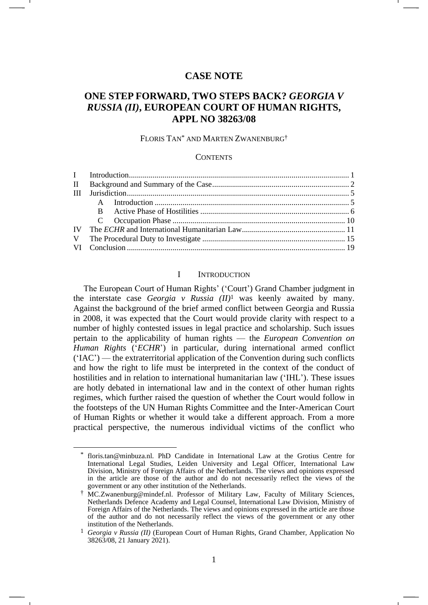# **CASE NOTE**

# **ONE STEP FORWARD, TWO STEPS BACK?** *GEORGIA V RUSSIA (II)***, EUROPEAN COURT OF HUMAN RIGHTS, APPL NO 38263/08**

### FLORIS TAN\* AND MARTEN ZWANENBURG†

#### **CONTENTS**

### <span id="page-0-0"></span>I INTRODUCTION

The European Court of Human Rights' ('Court') Grand Chamber judgment in the interstate case *Georgia v Russia (II)*<sup>1</sup> was keenly awaited by many. Against the background of the brief armed conflict between Georgia and Russia in 2008, it was expected that the Court would provide clarity with respect to a number of highly contested issues in legal practice and scholarship. Such issues pertain to the applicability of human rights — the *European Convention on Human Rights* ('*ECHR*') in particular, during international armed conflict ('IAC') — the extraterritorial application of the Convention during such conflicts and how the right to life must be interpreted in the context of the conduct of hostilities and in relation to international humanitarian law ('IHL'). These issues are hotly debated in international law and in the context of other human rights regimes, which further raised the question of whether the Court would follow in the footsteps of the UN Human Rights Committee and the Inter-American Court of Human Rights or whether it would take a different approach. From a more practical perspective, the numerous individual victims of the conflict who

floris.tan@minbuza.nl. PhD Candidate in International Law at the Grotius Centre for International Legal Studies, Leiden University and Legal Officer, International Law Division, Ministry of Foreign Affairs of the Netherlands. The views and opinions expressed in the article are those of the author and do not necessarily reflect the views of the government or any other institution of the Netherlands.

<sup>†</sup> MC.Zwanenburg@mindef.nl. Professor of Military Law, Faculty of Military Sciences, Netherlands Defence Academy and Legal Counsel, International Law Division, Ministry of Foreign Affairs of the Netherlands. The views and opinions expressed in the article are those of the author and do not necessarily reflect the views of the government or any other institution of the Netherlands.

<sup>1</sup> *Georgia v Russia (II)* (European Court of Human Rights, Grand Chamber, Application No 38263/08, 21 January 2021).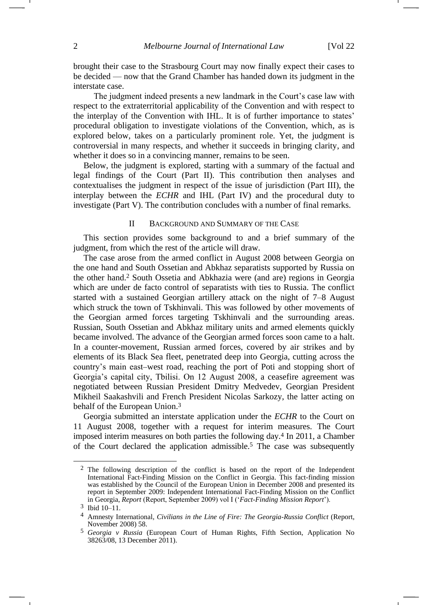brought their case to the Strasbourg Court may now finally expect their cases to be decided — now that the Grand Chamber has handed down its judgment in the interstate case.

The judgment indeed presents a new landmark in the Court's case law with respect to the extraterritorial applicability of the Convention and with respect to the interplay of the Convention with IHL. It is of further importance to states' procedural obligation to investigate violations of the Convention, which, as is explored below, takes on a particularly prominent role. Yet, the judgment is controversial in many respects, and whether it succeeds in bringing clarity, and whether it does so in a convincing manner, remains to be seen.

Below, the judgment is explored, starting with a summary of the factual and legal findings of the Court (Part II). This contribution then analyses and contextualises the judgment in respect of the issue of jurisdiction (Part III), the interplay between the *ECHR* and IHL (Part IV) and the procedural duty to investigate (Part V). The contribution concludes with a number of final remarks.

#### II BACKGROUND AND SUMMARY OF THE CASE

This section provides some background to and a brief summary of the judgment, from which the rest of the article will draw.

The case arose from the armed conflict in August 2008 between Georgia on the one hand and South Ossetian and Abkhaz separatists supported by Russia on the other hand.<sup>2</sup> South Ossetia and Abkhazia were (and are) regions in Georgia which are under de facto control of separatists with ties to Russia. The conflict started with a sustained Georgian artillery attack on the night of 7–8 August which struck the town of Tskhinvali. This was followed by other movements of the Georgian armed forces targeting Tskhinvali and the surrounding areas. Russian, South Ossetian and Abkhaz military units and armed elements quickly became involved. The advance of the Georgian armed forces soon came to a halt. In a counter-movement, Russian armed forces, covered by air strikes and by elements of its Black Sea fleet, penetrated deep into Georgia, cutting across the country's main east–west road, reaching the port of Poti and stopping short of Georgia's capital city, Tbilisi. On 12 August 2008, a ceasefire agreement was negotiated between Russian President Dmitry Medvedev, Georgian President Mikheil Saakashvili and French President Nicolas Sarkozy, the latter acting on behalf of the European Union.<sup>3</sup>

Georgia submitted an interstate application under the *ECHR* to the Court on 11 August 2008, together with a request for interim measures. The Court imposed interim measures on both parties the following day.<sup>4</sup> In 2011, a Chamber of the Court declared the application admissible.<sup>5</sup> The case was subsequently

<sup>2</sup> The following description of the conflict is based on the report of the Independent International Fact-Finding Mission on the Conflict in Georgia. This fact-finding mission was established by the Council of the European Union in December 2008 and presented its report in September 2009: Independent International Fact-Finding Mission on the Conflict in Georgia, *Report* (Report, September 2009) vol I ('*Fact-Finding Mission Report*').

<sup>3</sup> Ibid 10–11.

<sup>4</sup> Amnesty International, *Civilians in the Line of Fire: The Georgia-Russia Conflict* (Report, November 2008) 58.

<sup>5</sup> *Georgia v Russia* (European Court of Human Rights, Fifth Section, Application No 38263/08, 13 December 2011).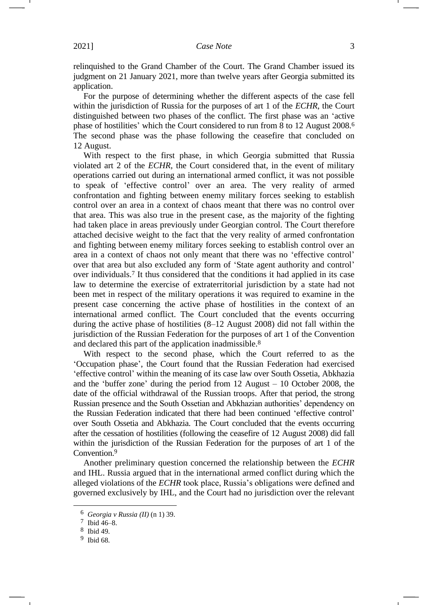relinquished to the Grand Chamber of the Court. The Grand Chamber issued its judgment on 21 January 2021, more than twelve years after Georgia submitted its application.

For the purpose of determining whether the different aspects of the case fell within the jurisdiction of Russia for the purposes of art 1 of the *ECHR*, the Court distinguished between two phases of the conflict. The first phase was an 'active phase of hostilities' which the Court considered to run from 8 to 12 August 2008.<sup>6</sup> The second phase was the phase following the ceasefire that concluded on 12 August.

With respect to the first phase, in which Georgia submitted that Russia violated art 2 of the *ECHR*, the Court considered that, in the event of military operations carried out during an international armed conflict, it was not possible to speak of 'effective control' over an area. The very reality of armed confrontation and fighting between enemy military forces seeking to establish control over an area in a context of chaos meant that there was no control over that area. This was also true in the present case, as the majority of the fighting had taken place in areas previously under Georgian control. The Court therefore attached decisive weight to the fact that the very reality of armed confrontation and fighting between enemy military forces seeking to establish control over an area in a context of chaos not only meant that there was no 'effective control' over that area but also excluded any form of 'State agent authority and control' over individuals.<sup>7</sup> It thus considered that the conditions it had applied in its case law to determine the exercise of extraterritorial jurisdiction by a state had not been met in respect of the military operations it was required to examine in the present case concerning the active phase of hostilities in the context of an international armed conflict. The Court concluded that the events occurring during the active phase of hostilities (8–12 August 2008) did not fall within the jurisdiction of the Russian Federation for the purposes of art 1 of the Convention and declared this part of the application inadmissible.<sup>8</sup>

With respect to the second phase, which the Court referred to as the 'Occupation phase', the Court found that the Russian Federation had exercised 'effective control' within the meaning of its case law over South Ossetia, Abkhazia and the 'buffer zone' during the period from 12 August – 10 October 2008, the date of the official withdrawal of the Russian troops. After that period, the strong Russian presence and the South Ossetian and Abkhazian authorities' dependency on the Russian Federation indicated that there had been continued 'effective control' over South Ossetia and Abkhazia. The Court concluded that the events occurring after the cessation of hostilities (following the ceasefire of 12 August 2008) did fall within the jurisdiction of the Russian Federation for the purposes of art 1 of the Convention.<sup>9</sup>

Another preliminary question concerned the relationship between the *ECHR* and IHL. Russia argued that in the international armed conflict during which the alleged violations of the *ECHR* took place, Russia's obligations were defined and governed exclusively by IHL, and the Court had no jurisdiction over the relevant

<sup>6</sup> *Georgia v Russia (II)* ([n 1\)](#page-0-0) 39.

<sup>7</sup> Ibid 46–8.

<sup>8</sup> Ibid 49.

<sup>9</sup> Ibid 68.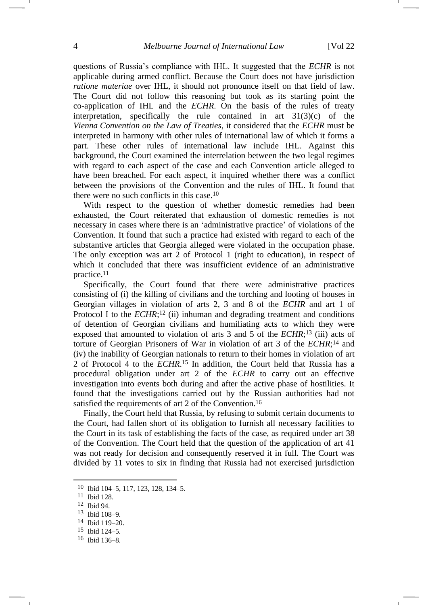questions of Russia's compliance with IHL. It suggested that the *ECHR* is not applicable during armed conflict. Because the Court does not have jurisdiction *ratione materiae* over IHL, it should not pronounce itself on that field of law. The Court did not follow this reasoning but took as its starting point the co-application of IHL and the *ECHR*. On the basis of the rules of treaty interpretation, specifically the rule contained in art 31(3)(c) of the *Vienna Convention on the Law of Treaties*, it considered that the *ECHR* must be interpreted in harmony with other rules of international law of which it forms a part. These other rules of international law include IHL. Against this background, the Court examined the interrelation between the two legal regimes with regard to each aspect of the case and each Convention article alleged to have been breached. For each aspect, it inquired whether there was a conflict between the provisions of the Convention and the rules of IHL. It found that there were no such conflicts in this case.<sup>10</sup>

With respect to the question of whether domestic remedies had been exhausted, the Court reiterated that exhaustion of domestic remedies is not necessary in cases where there is an 'administrative practice' of violations of the Convention. It found that such a practice had existed with regard to each of the substantive articles that Georgia alleged were violated in the occupation phase. The only exception was art 2 of Protocol 1 (right to education), in respect of which it concluded that there was insufficient evidence of an administrative practice.<sup>11</sup>

Specifically, the Court found that there were administrative practices consisting of (i) the killing of civilians and the torching and looting of houses in Georgian villages in violation of arts 2, 3 and 8 of the *ECHR* and art 1 of Protocol I to the *ECHR*;<sup>12</sup> (ii) inhuman and degrading treatment and conditions of detention of Georgian civilians and humiliating acts to which they were exposed that amounted to violation of arts 3 and 5 of the *ECHR*;<sup>13</sup> (iii) acts of torture of Georgian Prisoners of War in violation of art 3 of the *ECHR*; <sup>14</sup> and (iv) the inability of Georgian nationals to return to their homes in violation of art 2 of Protocol 4 to the *ECHR*. <sup>15</sup> In addition, the Court held that Russia has a procedural obligation under art 2 of the *ECHR* to carry out an effective investigation into events both during and after the active phase of hostilities. It found that the investigations carried out by the Russian authorities had not satisfied the requirements of art 2 of the Convention.<sup>16</sup>

Finally, the Court held that Russia, by refusing to submit certain documents to the Court, had fallen short of its obligation to furnish all necessary facilities to the Court in its task of establishing the facts of the case, as required under art 38 of the Convention. The Court held that the question of the application of art 41 was not ready for decision and consequently reserved it in full. The Court was divided by 11 votes to six in finding that Russia had not exercised jurisdiction

15 Ibid 124–5.

<sup>10</sup> Ibid 104–5, 117, 123, 128, 134–5.

<sup>11</sup> Ibid 128.

<sup>12</sup> Ibid 94.

<sup>13</sup> Ibid 108–9.

<sup>14</sup> Ibid 119–20.

<sup>16</sup> Ibid 136–8.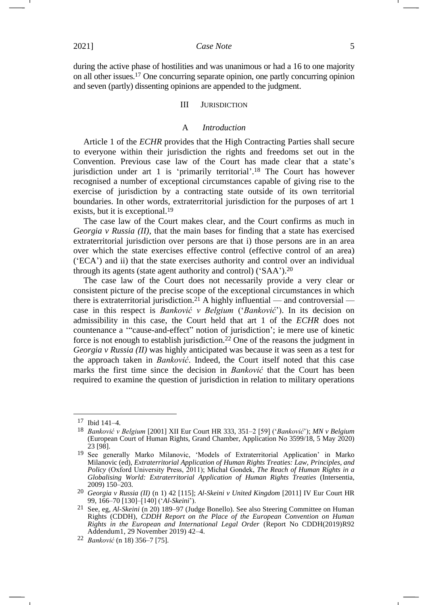during the active phase of hostilities and was unanimous or had a 16 to one majority on all other issues.<sup>17</sup> One concurring separate opinion, one partly concurring opinion and seven (partly) dissenting opinions are appended to the judgment.

#### III JURISDICTION

#### <span id="page-4-1"></span><span id="page-4-0"></span>A *Introduction*

Article 1 of the *ECHR* provides that the High Contracting Parties shall secure to everyone within their jurisdiction the rights and freedoms set out in the Convention. Previous case law of the Court has made clear that a state's jurisdiction under art 1 is 'primarily territorial'. <sup>18</sup> The Court has however recognised a number of exceptional circumstances capable of giving rise to the exercise of jurisdiction by a contracting state outside of its own territorial boundaries. In other words, extraterritorial jurisdiction for the purposes of art 1 exists, but it is exceptional.<sup>19</sup>

The case law of the Court makes clear, and the Court confirms as much in *Georgia v Russia (II)*, that the main bases for finding that a state has exercised extraterritorial jurisdiction over persons are that i) those persons are in an area over which the state exercises effective control (effective control of an area) ('ECA') and ii) that the state exercises authority and control over an individual through its agents (state agent authority and control) ('SAA').<sup>20</sup>

The case law of the Court does not necessarily provide a very clear or consistent picture of the precise scope of the exceptional circumstances in which there is extraterritorial jurisdiction.<sup>21</sup> A highly influential — and controversial case in this respect is *Banković v Belgium* ('*Banković*'). In its decision on admissibility in this case, the Court held that art 1 of the *ECHR* does not countenance a '"cause-and-effect" notion of jurisdiction'; ie mere use of kinetic force is not enough to establish jurisdiction.<sup>22</sup> One of the reasons the judgment in *Georgia v Russia (II)* was highly anticipated was because it was seen as a test for the approach taken in *Banković*. Indeed, the Court itself noted that this case marks the first time since the decision in *Banković* that the Court has been required to examine the question of jurisdiction in relation to military operations

<sup>17</sup> Ibid 141–4.

<sup>18</sup> *Banković v Belgium* [2001] XII Eur Court HR 333, 351–2 [59] ('*Banković*'); *MN v Belgium* (European Court of Human Rights, Grand Chamber, Application No 3599/18, 5 May 2020) 23 [98].

<sup>19</sup> See generally Marko Milanovic, 'Models of Extraterritorial Application' in Marko Milanovic (ed), *Extraterritorial Application of Human Rights Treaties: Law, Principles, and Policy* (Oxford University Press, 2011); Michał Gondek, *The Reach of Human Rights in a Globalising World: Extraterritorial Application of Human Rights Treaties* (Intersentia, 2009) 150–203.

<sup>20</sup> *Georgia v Russia (II)* (n [1\)](#page-0-0) 42 [115]; *Al-Skeini v United Kingdom* [2011] IV Eur Court HR 99, 166–70 [130]–[140] ('*Al-Skeini*').

<sup>21</sup> See, eg, *Al-Skeini* (n [20\)](#page-4-0) 189–97 (Judge Bonello). See also Steering Committee on Human Rights (CDDH), *CDDH Report on the Place of the European Convention on Human Rights in the European and International Legal Order* (Report No CDDH(2019)R92 Addendum1, 29 November 2019) 42–4.

<sup>22</sup> *Banković* (n [18\)](#page-4-1) 356–7 [75].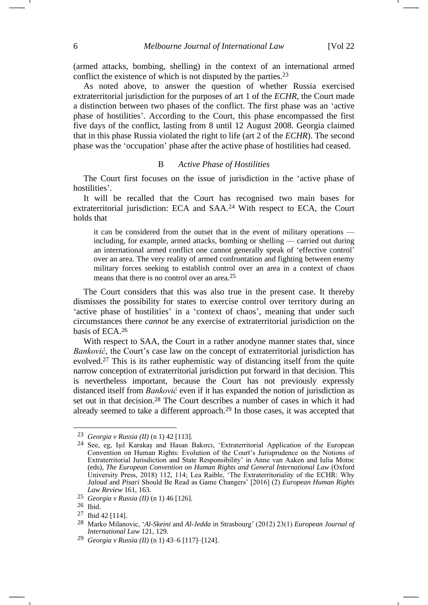-

(armed attacks, bombing, shelling) in the context of an international armed conflict the existence of which is not disputed by the parties.<sup>23</sup>

As noted above, to answer the question of whether Russia exercised extraterritorial jurisdiction for the purposes of art 1 of the *ECHR*, the Court made a distinction between two phases of the conflict. The first phase was an 'active phase of hostilities'. According to the Court, this phase encompassed the first five days of the conflict, lasting from 8 until 12 August 2008. Georgia claimed that in this phase Russia violated the right to life (art 2 of the *ECHR*). The second phase was the 'occupation' phase after the active phase of hostilities had ceased.

#### B *Active Phase of Hostilities*

The Court first focuses on the issue of jurisdiction in the 'active phase of hostilities'.

It will be recalled that the Court has recognised two main bases for extraterritorial jurisdiction: ECA and SAA.<sup>24</sup> With respect to ECA, the Court holds that

it can be considered from the outset that in the event of military operations including, for example, armed attacks, bombing or shelling — carried out during an international armed conflict one cannot generally speak of 'effective control' over an area. The very reality of armed confrontation and fighting between enemy military forces seeking to establish control over an area in a context of chaos means that there is no control over an area.25

The Court considers that this was also true in the present case. It thereby dismisses the possibility for states to exercise control over territory during an 'active phase of hostilities' in a 'context of chaos', meaning that under such circumstances there *cannot* be any exercise of extraterritorial jurisdiction on the basis of ECA.<sup>26</sup>

With respect to SAA, the Court in a rather anodyne manner states that, since *Banković*, the Court's case law on the concept of extraterritorial jurisdiction has evolved.<sup>27</sup> This is its rather euphemistic way of distancing itself from the quite narrow conception of extraterritorial jurisdiction put forward in that decision. This is nevertheless important, because the Court has not previously expressly distanced itself from *Banković* even if it has expanded the notion of jurisdiction as set out in that decision.<sup>28</sup> The Court describes a number of cases in which it had already seemed to take a different approach.<sup>29</sup> In those cases, it was accepted that

<sup>23</sup> *Georgia v Russia (II)* (n [1\)](#page-0-0) 42 [113].

<sup>24</sup> See, eg, Işıl Karakaș and Hasan Bakırcı, 'Extraterritorial Application of the European Convention on Human Rights: Evolution of the Court's Jurisprudence on the Notions of Extraterritorial Jurisdiction and State Responsibility' in Anne van Aaken and Iulia Motoc (eds), *The European Convention on Human Rights and General International Law* (Oxford University Press, 2018) 112, 114; Lea Raible, 'The Extraterritoriality of the ECHR: Why *Jaloud* and *Pisari* Should Be Read as Game Changers' [2016] (2) *European Human Rights Law Review* 161, 163.

<sup>25</sup> *Georgia v Russia (II)* (n [1\)](#page-0-0) 46 [126].

<sup>26</sup> Ibid.

<sup>27</sup> Ibid 42 [114].

<sup>28</sup> Marko Milanovic, '*Al-Skeini* and *Al-Jedda* in Strasbourg' (2012) 23(1) *European Journal of International Law* 121, 129.

<sup>29</sup> *Georgia v Russia (II)* ([n 1\)](#page-0-0) 43–6 [117]–[124].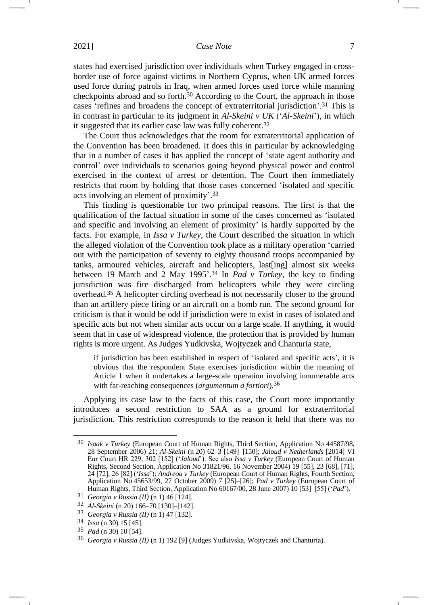<span id="page-6-0"></span>states had exercised jurisdiction over individuals when Turkey engaged in crossborder use of force against victims in Northern Cyprus, when UK armed forces used force during patrols in Iraq, when armed forces used force while manning checkpoints abroad and so forth.<sup>30</sup> According to the Court, the approach in those cases 'refines and broadens the concept of extraterritorial jurisdiction'. <sup>31</sup> This is in contrast in particular to its judgment in *Al-Skeini v UK* ('*Al-Skeini*'), in which it suggested that its earlier case law was fully coherent.<sup>32</sup>

The Court thus acknowledges that the room for extraterritorial application of the Convention has been broadened. It does this in particular by acknowledging that in a number of cases it has applied the concept of 'state agent authority and control' over individuals to scenarios going beyond physical power and control exercised in the context of arrest or detention. The Court then immediately restricts that room by holding that those cases concerned 'isolated and specific acts involving an element of proximity'. 33

This finding is questionable for two principal reasons. The first is that the qualification of the factual situation in some of the cases concerned as 'isolated and specific and involving an element of proximity' is hardly supported by the facts. For example, in *Issa v Turkey*, the Court described the situation in which the alleged violation of the Convention took place as a military operation 'carried out with the participation of seventy to eighty thousand troops accompanied by tanks, armoured vehicles, aircraft and helicopters, last[ing] almost six weeks between 19 March and 2 May 1995'. <sup>34</sup> In *Pad v Turkey*, the key to finding jurisdiction was fire discharged from helicopters while they were circling overhead.<sup>35</sup> A helicopter circling overhead is not necessarily closer to the ground than an artillery piece firing or an aircraft on a bomb run. The second ground for criticism is that it would be odd if jurisdiction were to exist in cases of isolated and specific acts but not when similar acts occur on a large scale. If anything, it would seem that in case of widespread violence, the protection that is provided by human rights is more urgent. As Judges Yudkivska, Wojtyczek and Chanturia state,

if jurisdiction has been established in respect of 'isolated and specific acts', it is obvious that the respondent State exercises jurisdiction within the meaning of Article 1 when it undertakes a large-scale operation involving innumerable acts with far-reaching consequences (*argumentum a fortiori*).36

Applying its case law to the facts of this case, the Court more importantly introduces a second restriction to SAA as a ground for extraterritorial jurisdiction. This restriction corresponds to the reason it held that there was no

<sup>30</sup> *Isaak v Turkey* (European Court of Human Rights, Third Section, Application No 44587/98, 28 September 2006) 21; *Al-Skeini* (n [20\)](#page-4-0) 62–3 [149]–[150]; *Jaloud v Netherlands* [2014] VI Eur Court HR 229, 302 [152] ('*Jaloud*'). See also *Issa v Turkey* (European Court of Human Rights, Second Section, Application No 31821/96, 16 November 2004) 19 [55], 23 [68], [71], 24 [72], 26 [82] ('*Issa*'); *Andreou v Turkey* (European Court of Human Rights, Fourth Section, Application No 45653/99, 27 October 2009) 7 [25]–[26]; *Pad v Turkey* (European Court of Human Rights, Third Section, Application No 60167/00, 28 June 2007) 10 [53]–[55] ('*Pad*').

<sup>31</sup> *Georgia v Russia (II)* (n [1\)](#page-0-0) 46 [124].

<sup>32</sup> *Al-Skeini* (n [20\)](#page-4-0) 166–70 [130]–[142].

<sup>33</sup> *Georgia v Russia (II)* (n [1\)](#page-0-0) 47 [132].

<sup>34</sup> *Issa* (n [30\)](#page-6-0) 15 [45].

<sup>35</sup> *Pad* (n [30\)](#page-6-0) 10 [54].

<sup>36</sup> *Georgia v Russia (II)* (n [1\)](#page-0-0) 192 [9] (Judges Yudkivska, Wojtyczek and Chanturia).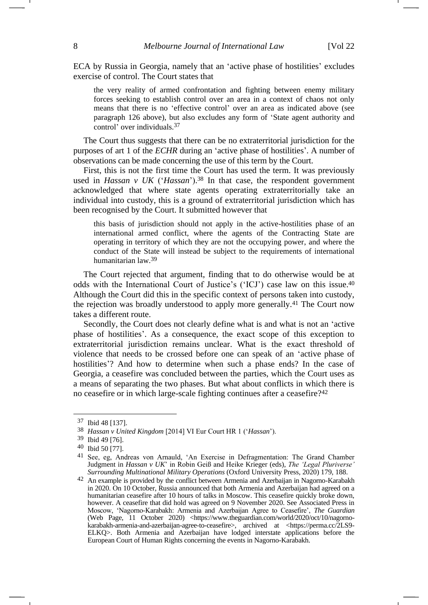ECA by Russia in Georgia, namely that an 'active phase of hostilities' excludes exercise of control. The Court states that

the very reality of armed confrontation and fighting between enemy military forces seeking to establish control over an area in a context of chaos not only means that there is no 'effective control' over an area as indicated above (see paragraph 126 above), but also excludes any form of 'State agent authority and control' over individuals.37

The Court thus suggests that there can be no extraterritorial jurisdiction for the purposes of art 1 of the *ECHR* during an 'active phase of hostilities'. A number of observations can be made concerning the use of this term by the Court.

First, this is not the first time the Court has used the term. It was previously used in *Hassan v UK* ('*Hassan*'). <sup>38</sup> In that case, the respondent government acknowledged that where state agents operating extraterritorially take an individual into custody, this is a ground of extraterritorial jurisdiction which has been recognised by the Court. It submitted however that

<span id="page-7-0"></span>this basis of jurisdiction should not apply in the active-hostilities phase of an international armed conflict, where the agents of the Contracting State are operating in territory of which they are not the occupying power, and where the conduct of the State will instead be subject to the requirements of international humanitarian law.39

The Court rejected that argument, finding that to do otherwise would be at odds with the International Court of Justice's ('ICJ') case law on this issue.<sup>40</sup> Although the Court did this in the specific context of persons taken into custody, the rejection was broadly understood to apply more generally.<sup>41</sup> The Court now takes a different route.

Secondly, the Court does not clearly define what is and what is not an 'active phase of hostilities'. As a consequence, the exact scope of this exception to extraterritorial jurisdiction remains unclear. What is the exact threshold of violence that needs to be crossed before one can speak of an 'active phase of hostilities'? And how to determine when such a phase ends? In the case of Georgia, a ceasefire was concluded between the parties, which the Court uses as a means of separating the two phases. But what about conflicts in which there is no ceasefire or in which large-scale fighting continues after a ceasefire?<sup>42</sup>

<sup>37</sup> Ibid 48 [137].

<sup>38</sup> *Hassan v United Kingdom* [2014] VI Eur Court HR 1 ('*Hassan*').

<sup>39</sup> Ibid 49 [76].

<sup>40</sup> Ibid 50 [77].

<sup>41</sup> See, eg, Andreas von Arnauld, 'An Exercise in Defragmentation: The Grand Chamber Judgment in *Hassan v UK*' in Robin Geiß and Heike Krieger (eds), *The 'Legal Pluriverse' Surrounding Multinational Military Operations* (Oxford University Press, 2020) 179, 188.

<sup>42</sup> An example is provided by the conflict between Armenia and Azerbaijan in Nagorno-Karabakh in 2020. On 10 October, Russia announced that both Armenia and Azerbaijan had agreed on a humanitarian ceasefire after 10 hours of talks in Moscow. This ceasefire quickly broke down, however. A ceasefire that did hold was agreed on 9 November 2020. See Associated Press in Moscow, 'Nagorno-Karabakh: Armenia and Azerbaijan Agree to Ceasefire', *The Guardian* (Web Page, 11 October 2020) [<https://www.theguardian.com/world/2020/oct/10/nagorno](https://www.theguardian.com/world/2020/oct/10/nagorno-karabakh-armenia-and-azerbaijan-agree-to-ceasefire)[karabakh-armenia-and-azerbaijan-agree-to-ceasefire>](https://www.theguardian.com/world/2020/oct/10/nagorno-karabakh-armenia-and-azerbaijan-agree-to-ceasefire), archived at <https://perma.cc/2LS9-ELKQ>. Both Armenia and Azerbaijan have lodged interstate applications before the European Court of Human Rights concerning the events in Nagorno-Karabakh.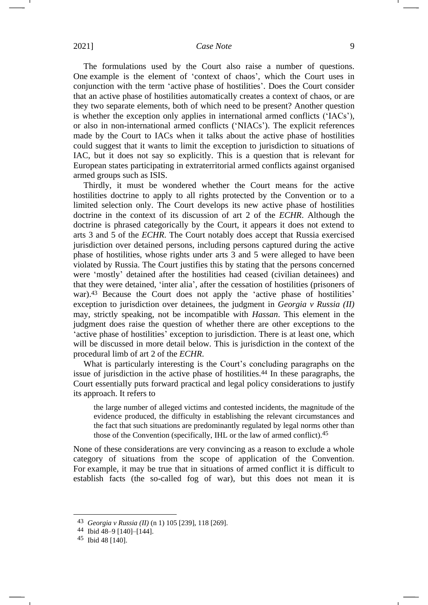The formulations used by the Court also raise a number of questions. One example is the element of 'context of chaos', which the Court uses in conjunction with the term 'active phase of hostilities'. Does the Court consider that an active phase of hostilities automatically creates a context of chaos, or are they two separate elements, both of which need to be present? Another question is whether the exception only applies in international armed conflicts ('IACs'), or also in non-international armed conflicts ('NIACs'). The explicit references made by the Court to IACs when it talks about the active phase of hostilities could suggest that it wants to limit the exception to jurisdiction to situations of IAC, but it does not say so explicitly. This is a question that is relevant for European states participating in extraterritorial armed conflicts against organised armed groups such as ISIS.

Thirdly, it must be wondered whether the Court means for the active hostilities doctrine to apply to all rights protected by the Convention or to a limited selection only. The Court develops its new active phase of hostilities doctrine in the context of its discussion of art 2 of the *ECHR*. Although the doctrine is phrased categorically by the Court, it appears it does not extend to arts 3 and 5 of the *ECHR*. The Court notably does accept that Russia exercised jurisdiction over detained persons, including persons captured during the active phase of hostilities, whose rights under arts 3 and 5 were alleged to have been violated by Russia. The Court justifies this by stating that the persons concerned were 'mostly' detained after the hostilities had ceased (civilian detainees) and that they were detained, 'inter alia', after the cessation of hostilities (prisoners of war).<sup>43</sup> Because the Court does not apply the 'active phase of hostilities' exception to jurisdiction over detainees, the judgment in *Georgia v Russia (II)* may, strictly speaking, not be incompatible with *Hassan*. This element in the judgment does raise the question of whether there are other exceptions to the 'active phase of hostilities' exception to jurisdiction. There is at least one, which will be discussed in more detail below. This is jurisdiction in the context of the procedural limb of art 2 of the *ECHR*.

What is particularly interesting is the Court's concluding paragraphs on the issue of jurisdiction in the active phase of hostilities.<sup>44</sup> In these paragraphs, the Court essentially puts forward practical and legal policy considerations to justify its approach. It refers to

the large number of alleged victims and contested incidents, the magnitude of the evidence produced, the difficulty in establishing the relevant circumstances and the fact that such situations are predominantly regulated by legal norms other than those of the Convention (specifically, IHL or the law of armed conflict).45

None of these considerations are very convincing as a reason to exclude a whole category of situations from the scope of application of the Convention. For example, it may be true that in situations of armed conflict it is difficult to establish facts (the so-called fog of war), but this does not mean it is

<sup>43</sup> *Georgia v Russia (II)* (n [1\)](#page-0-0) 105 [239], 118 [269].

<sup>44</sup> Ibid 48–9 [140]–[144].

<sup>45</sup> Ibid 48 [140].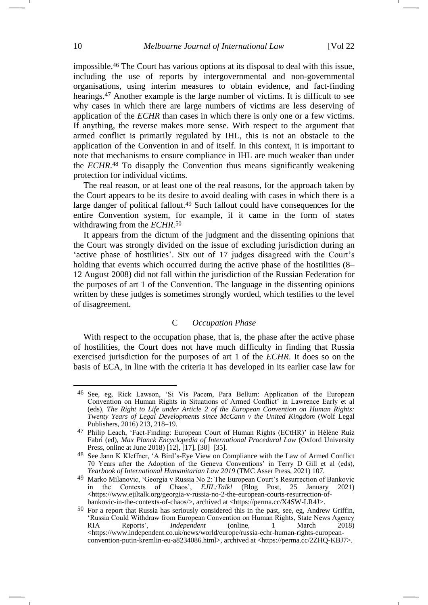impossible.<sup>46</sup> The Court has various options at its disposal to deal with this issue, including the use of reports by intergovernmental and non-governmental organisations, using interim measures to obtain evidence, and fact-finding hearings.<sup>47</sup> Another example is the large number of victims. It is difficult to see why cases in which there are large numbers of victims are less deserving of application of the *ECHR* than cases in which there is only one or a few victims. If anything, the reverse makes more sense. With respect to the argument that armed conflict is primarily regulated by IHL, this is not an obstacle to the application of the Convention in and of itself. In this context, it is important to note that mechanisms to ensure compliance in IHL are much weaker than under the *ECHR*. <sup>48</sup> To disapply the Convention thus means significantly weakening protection for individual victims.

The real reason, or at least one of the real reasons, for the approach taken by the Court appears to be its desire to avoid dealing with cases in which there is a large danger of political fallout.<sup>49</sup> Such fallout could have consequences for the entire Convention system, for example, if it came in the form of states withdrawing from the *ECHR*. 50

It appears from the dictum of the judgment and the dissenting opinions that the Court was strongly divided on the issue of excluding jurisdiction during an 'active phase of hostilities'. Six out of 17 judges disagreed with the Court's holding that events which occurred during the active phase of the hostilities  $(8 -$ 12 August 2008) did not fall within the jurisdiction of the Russian Federation for the purposes of art 1 of the Convention. The language in the dissenting opinions written by these judges is sometimes strongly worded, which testifies to the level of disagreement.

## C *Occupation Phase*

With respect to the occupation phase, that is, the phase after the active phase of hostilities, the Court does not have much difficulty in finding that Russia exercised jurisdiction for the purposes of art 1 of the *ECHR*. It does so on the basis of ECA, in line with the criteria it has developed in its earlier case law for

<sup>46</sup> See, eg, Rick Lawson, 'Si Vis Pacem, Para Bellum: Application of the European Convention on Human Rights in Situations of Armed Conflict' in Lawrence Early et al (eds), *The Right to Life under Article 2 of the European Convention on Human Rights: Twenty Years of Legal Developments since McCann v the United Kingdom* (Wolf Legal Publishers, 2016) 213, 218–19.

<sup>47</sup> Philip Leach, 'Fact-Finding: European Court of Human Rights (ECtHR)' in Hélène Ruiz Fabri (ed), *Max Planck Encyclopedia of International Procedural Law* (Oxford University Press, online at June 2018) [12], [17], [30]–[35].

<sup>48</sup> See Jann K Kleffner, 'A Bird's-Eye View on Compliance with the Law of Armed Conflict 70 Years after the Adoption of the Geneva Conventions' in Terry D Gill et al (eds), *Yearbook of International Humanitarian Law 2019* (TMC Asser Press, 2021) 107.

<sup>49</sup> Marko Milanovic, 'Georgia v Russia No 2: The European Court's Resurrection of Bankovic in the Contexts of Chaos', *EJIL:Talk!* (Blog Post, 25 January 2021) [<https://www.ejiltalk.org/georgia-v-russia-no-2-the-european-courts-resurrection-of](https://www.ejiltalk.org/georgia-v-russia-no-2-the-european-courts-resurrection-of-bankovic-in-the-contexts-of-chaos/)[bankovic-in-the-contexts-of-chaos/>](https://www.ejiltalk.org/georgia-v-russia-no-2-the-european-courts-resurrection-of-bankovic-in-the-contexts-of-chaos/), archived at <https://perma.cc/X4SW-LR4J>.

<sup>50</sup> For a report that Russia has seriously considered this in the past, see, eg, Andrew Griffin, 'Russia Could Withdraw from European Convention on Human Rights, State News Agency<br>RIA Reports', *Independent* (online, 1 March 2018) Reports', *Independent* (online, 1 March 2018) <https://www.independent.co.uk/news/world/europe/russia-echr-human-rights-europeanconvention-putin-kremlin-eu-a8234086.html>, archived at <https://perma.cc/2ZHQ-KBJ7>.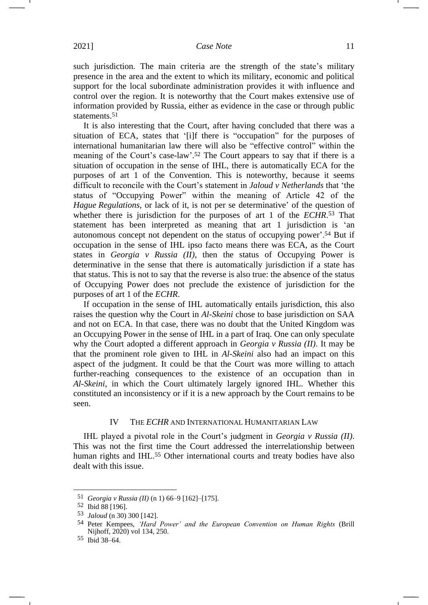such jurisdiction. The main criteria are the strength of the state's military presence in the area and the extent to which its military, economic and political support for the local subordinate administration provides it with influence and control over the region. It is noteworthy that the Court makes extensive use of information provided by Russia, either as evidence in the case or through public statements.<sup>51</sup>

It is also interesting that the Court, after having concluded that there was a situation of ECA, states that '[i]f there is "occupation" for the purposes of international humanitarian law there will also be "effective control" within the meaning of the Court's case-law'.<sup>52</sup> The Court appears to say that if there is a situation of occupation in the sense of IHL, there is automatically ECA for the purposes of art 1 of the Convention. This is noteworthy, because it seems difficult to reconcile with the Court's statement in *Jaloud v Netherlands* that 'the status of "Occupying Power" within the meaning of Article 42 of the *Hague Regulations*, or lack of it, is not per se determinative' of the question of whether there is jurisdiction for the purposes of art 1 of the *ECHR*. <sup>53</sup> That statement has been interpreted as meaning that art 1 jurisdiction is 'an autonomous concept not dependent on the status of occupying power'. <sup>54</sup> But if occupation in the sense of IHL ipso facto means there was ECA, as the Court states in *Georgia v Russia (II)*, then the status of Occupying Power is determinative in the sense that there is automatically jurisdiction if a state has that status. This is not to say that the reverse is also true: the absence of the status of Occupying Power does not preclude the existence of jurisdiction for the purposes of art 1 of the *ECHR*.

<span id="page-10-0"></span>If occupation in the sense of IHL automatically entails jurisdiction, this also raises the question why the Court in *Al-Skeini* chose to base jurisdiction on SAA and not on ECA. In that case, there was no doubt that the United Kingdom was an Occupying Power in the sense of IHL in a part of Iraq. One can only speculate why the Court adopted a different approach in *Georgia v Russia (II)*. It may be that the prominent role given to IHL in *Al-Skeini* also had an impact on this aspect of the judgment. It could be that the Court was more willing to attach further-reaching consequences to the existence of an occupation than in *Al-Skeini*, in which the Court ultimately largely ignored IHL. Whether this constituted an inconsistency or if it is a new approach by the Court remains to be seen.

### IV THE *ECHR* AND INTERNATIONAL HUMANITARIAN LAW

IHL played a pivotal role in the Court's judgment in *Georgia v Russia (II)*. This was not the first time the Court addressed the interrelationship between human rights and IHL.<sup>55</sup> Other international courts and treaty bodies have also dealt with this issue.

<sup>51</sup> *Georgia v Russia (II)* (n [1\)](#page-0-0) 66–9 [162]–[175].

<sup>52</sup> Ibid 88 [196].

<sup>53</sup> *Jaloud* ([n 30\)](#page-6-0) 300 [142].

<sup>54</sup> Peter Kempees, *'Hard Power' and the European Convention on Human Rights* (Brill Nijhoff, 2020) vol 134, 250.

<sup>55</sup> Ibid 38–64.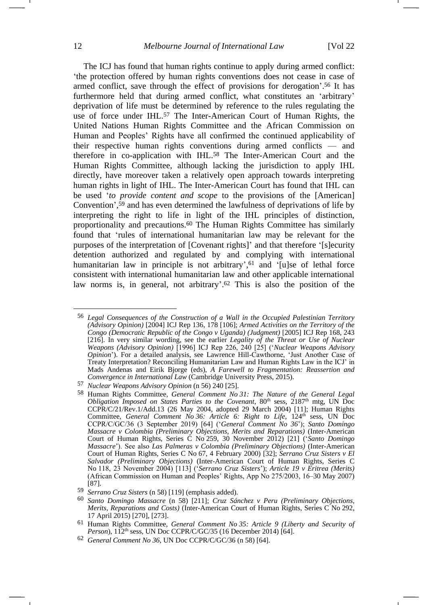<span id="page-11-0"></span>-

<span id="page-11-1"></span>The ICJ has found that human rights continue to apply during armed conflict: 'the protection offered by human rights conventions does not cease in case of armed conflict, save through the effect of provisions for derogation'. <sup>56</sup> It has furthermore held that during armed conflict, what constitutes an 'arbitrary' deprivation of life must be determined by reference to the rules regulating the use of force under IHL.<sup>57</sup> The Inter-American Court of Human Rights, the United Nations Human Rights Committee and the African Commission on Human and Peoples' Rights have all confirmed the continued applicability of their respective human rights conventions during armed conflicts — and therefore in co-application with IHL.<sup>58</sup> The Inter-American Court and the Human Rights Committee, although lacking the jurisdiction to apply IHL directly, have moreover taken a relatively open approach towards interpreting human rights in light of IHL. The Inter-American Court has found that IHL can be used '*to provide content and scope* to the provisions of the [American] Convention', <sup>59</sup> and has even determined the lawfulness of deprivations of life by interpreting the right to life in light of the IHL principles of distinction, proportionality and precautions.<sup>60</sup> The Human Rights Committee has similarly found that 'rules of international humanitarian law may be relevant for the purposes of the interpretation of [Covenant rights]' and that therefore '[s]ecurity detention authorized and regulated by and complying with international humanitarian law in principle is not arbitrary',<sup>61</sup> and '[u]se of lethal force consistent with international humanitarian law and other applicable international law norms is, in general, not arbitrary'. <sup>62</sup> This is also the position of the

<sup>56</sup> *Legal Consequences of the Construction of a Wall in the Occupied Palestinian Territory (Advisory Opinion)* [2004] ICJ Rep 136, 178 [106]; *Armed Activities on the Territory of the Congo (Democratic Republic of the Congo v Uganda) (Judgment)* [2005] ICJ Rep 168, 243 [216]. In very similar wording, see the earlier *Legality of the Threat or Use of Nuclear Weapons (Advisory Opinion)* [1996] ICJ Rep 226, 240 [25] ('*Nuclear Weapons Advisory Opinion*'). For a detailed analysis, see Lawrence Hill-Cawthorne, 'Just Another Case of Treaty Interpretation? Reconciling Humanitarian Law and Human Rights Law in the ICJ' in Mads Andenas and Eirik Bjorge (eds), *A Farewell to Fragmentation: Reassertion and Convergence in International Law* (Cambridge University Press, 2015).

<sup>57</sup> *Nuclear Weapons Advisory Opinion* (n [56\)](#page-11-0) 240 [25].

<sup>58</sup> Human Rights Committee, *General Comment No 31: The Nature of the General Legal Obligation Imposed on States Parties to the Covenant*, 80<sup>th</sup> sess, 2187<sup>th</sup> mtg, UN Doc CCPR/C/21/Rev.1/Add.13 (26 May 2004, adopted 29 March 2004) [11]; Human Rights Committee, *General Comment No 36: Article 6: Right to Life,* 124th sess, UN Doc CCPR/C/GC/36 (3 September 2019) [64] ('*General Comment No 36*'); *Santo Domingo Massacre v Colombia (Preliminary Objections, Merits and Reparations)* (Inter-American Court of Human Rights, Series C No 259, 30 November 2012) [21] ('*Santo Domingo Massacre*'). See also *Las Palmeras v Colombia (Preliminary Objections)* (Inter-American Court of Human Rights, Series C No 67, 4 February 2000) [32]; *Serrano Cruz Sisters v El Salvador (Preliminary Objections)* (Inter-American Court of Human Rights, Series C No 118, 23 November 2004) [113] ('*Serrano Cruz Sisters*'); *Article 19 v Eritrea (Merits)* (African Commission on Human and Peoples' Rights, App No 275/2003, 16–30 May 2007) [87].

<sup>59</sup> *Serrano Cruz Sisters* ([n 58\)](#page-11-1) [119] (emphasis added).

<sup>60</sup> *Santo Domingo Massacre* (n [58\)](#page-11-1) [211]; *Cruz Sánchez v Peru (Preliminary Objections, Merits, Reparations and Costs)* (Inter-American Court of Human Rights, Series C No 292, 17 April 2015) [270], [273].

<sup>61</sup> Human Rights Committee, *General Comment No 35: Article 9 (Liberty and Security of Person*), 112<sup>th</sup> sess, UN Doc CCPR/C/GC/35 (16 December 2014) [64].

<sup>62</sup> *General Comment No 36*, UN Doc CCPR/C/GC/36 (n [58\)](#page-11-1) [64].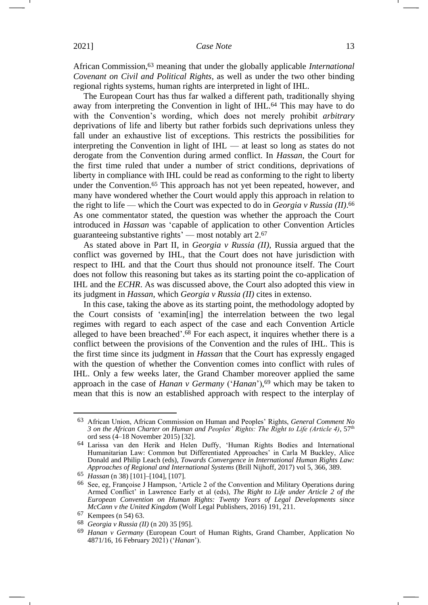African Commission,<sup>63</sup> meaning that under the globally applicable *International Covenant on Civil and Political Rights*, as well as under the two other binding regional rights systems, human rights are interpreted in light of IHL.

The European Court has thus far walked a different path, traditionally shying away from interpreting the Convention in light of IHL.<sup>64</sup> This may have to do with the Convention's wording, which does not merely prohibit *arbitrary*  deprivations of life and liberty but rather forbids such deprivations unless they fall under an exhaustive list of exceptions. This restricts the possibilities for interpreting the Convention in light of IHL — at least so long as states do not derogate from the Convention during armed conflict. In *Hassan*, the Court for the first time ruled that under a number of strict conditions, deprivations of liberty in compliance with IHL could be read as conforming to the right to liberty under the Convention.<sup>65</sup> This approach has not yet been repeated, however, and many have wondered whether the Court would apply this approach in relation to the right to life — which the Court was expected to do in *Georgia v Russia (II)*. 66 As one commentator stated, the question was whether the approach the Court introduced in *Hassan* was 'capable of application to other Convention Articles guaranteeing substantive rights' — most notably art 2.<sup>67</sup>

As stated above in Part II, in *Georgia v Russia (II)*, Russia argued that the conflict was governed by IHL, that the Court does not have jurisdiction with respect to IHL and that the Court thus should not pronounce itself. The Court does not follow this reasoning but takes as its starting point the co-application of IHL and the *ECHR*. As was discussed above, the Court also adopted this view in its judgment in *Hassan*, which *Georgia v Russia (II)* cites in extenso.

In this case, taking the above as its starting point, the methodology adopted by the Court consists of 'examin[ing] the interrelation between the two legal regimes with regard to each aspect of the case and each Convention Article alleged to have been breached'. <sup>68</sup> For each aspect, it inquires whether there is a conflict between the provisions of the Convention and the rules of IHL. This is the first time since its judgment in *Hassan* that the Court has expressly engaged with the question of whether the Convention comes into conflict with rules of IHL. Only a few weeks later, the Grand Chamber moreover applied the same approach in the case of *Hanan v Germany* ('*Hanan*'), <sup>69</sup> which may be taken to mean that this is now an established approach with respect to the interplay of

<span id="page-12-0"></span><sup>63</sup> African Union, African Commission on Human and Peoples' Rights, *General Comment No 3 on the African Charter on Human and Peoples' Rights: The Right to Life (Article 4)*, 57th ord sess (4–18 November 2015) [32].

<sup>64</sup> Larissa van den Herik and Helen Duffy, 'Human Rights Bodies and International Humanitarian Law: Common but Differentiated Approaches' in Carla M Buckley, Alice Donald and Philip Leach (eds), *Towards Convergence in International Human Rights Law: Approaches of Regional and International Systems* (Brill Nijhoff, 2017) vol 5, 366, 389.

<sup>65</sup> *Hassan* (n [38\)](#page-7-0) [101]–[104], [107].

<sup>66</sup> See, eg, Françoise J Hampson, 'Article 2 of the Convention and Military Operations during Armed Conflict' in Lawrence Early et al (eds), *The Right to Life under Article 2 of the European Convention on Human Rights: Twenty Years of Legal Developments since McCann v the United Kingdom* (Wolf Legal Publishers, 2016) 191, 211.

<sup>67</sup> Kempees ([n 54\)](#page-10-0) 63.

<sup>68</sup> *Georgia v Russia (II)* (n [20\)](#page-4-0) 35 [95].

<sup>69</sup> *Hanan v Germany* (European Court of Human Rights, Grand Chamber, Application No 4871/16, 16 February 2021) ('*Hanan*').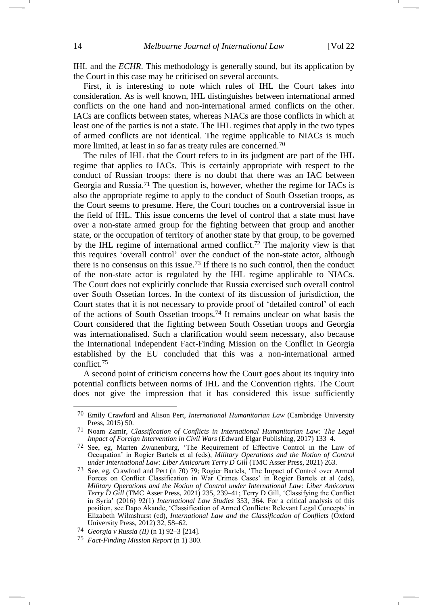IHL and the *ECHR*. This methodology is generally sound, but its application by the Court in this case may be criticised on several accounts.

First, it is interesting to note which rules of IHL the Court takes into consideration. As is well known, IHL distinguishes between international armed conflicts on the one hand and non-international armed conflicts on the other. IACs are conflicts between states, whereas NIACs are those conflicts in which at least one of the parties is not a state. The IHL regimes that apply in the two types of armed conflicts are not identical. The regime applicable to NIACs is much more limited, at least in so far as treaty rules are concerned.<sup>70</sup>

<span id="page-13-0"></span>The rules of IHL that the Court refers to in its judgment are part of the IHL regime that applies to IACs. This is certainly appropriate with respect to the conduct of Russian troops: there is no doubt that there was an IAC between Georgia and Russia.<sup>71</sup> The question is, however, whether the regime for IACs is also the appropriate regime to apply to the conduct of South Ossetian troops, as the Court seems to presume. Here, the Court touches on a controversial issue in the field of IHL. This issue concerns the level of control that a state must have over a non-state armed group for the fighting between that group and another state, or the occupation of territory of another state by that group, to be governed by the IHL regime of international armed conflict.<sup>72</sup> The majority view is that this requires 'overall control' over the conduct of the non-state actor, although there is no consensus on this issue.<sup>73</sup> If there is no such control, then the conduct of the non-state actor is regulated by the IHL regime applicable to NIACs. The Court does not explicitly conclude that Russia exercised such overall control over South Ossetian forces. In the context of its discussion of jurisdiction, the Court states that it is not necessary to provide proof of 'detailed control' of each of the actions of South Ossetian troops.<sup>74</sup> It remains unclear on what basis the Court considered that the fighting between South Ossetian troops and Georgia was internationalised. Such a clarification would seem necessary, also because the International Independent Fact-Finding Mission on the Conflict in Georgia established by the EU concluded that this was a non-international armed conflict.<sup>75</sup>

A second point of criticism concerns how the Court goes about its inquiry into potential conflicts between norms of IHL and the Convention rights. The Court does not give the impression that it has considered this issue sufficiently

<sup>70</sup> Emily Crawford and Alison Pert, *International Humanitarian Law* (Cambridge University Press, 2015) 50.

<sup>71</sup> Noam Zamir, *Classification of Conflicts in International Humanitarian Law: The Legal Impact of Foreign Intervention in Civil Wars* (Edward Elgar Publishing, 2017) 133–4.

<sup>72</sup> See, eg, Marten Zwanenburg, 'The Requirement of Effective Control in the Law of Occupation' in Rogier Bartels et al (eds), *Military Operations and the Notion of Control under International Law: Liber Amicorum Terry D Gill* (TMC Asser Press, 2021) 263.

<sup>73</sup> See, eg, Crawford and Pert (n [70\)](#page-13-0) 79; Rogier Bartels, 'The Impact of Control over Armed Forces on Conflict Classification in War Crimes Cases' in Rogier Bartels et al (eds), *Military Operations and the Notion of Control under International Law: Liber Amicorum Terry D Gill* (TMC Asser Press, 2021) 235, 239–41; Terry D Gill, 'Classifying the Conflict in Syria' (2016) 92(1) *International Law Studies* 353, 364. For a critical analysis of this position, see Dapo Akande, 'Classification of Armed Conflicts: Relevant Legal Concepts' in Elizabeth Wilmshurst (ed), *International Law and the Classification of Conflicts* (Oxford University Press, 2012) 32, 58–62.

<sup>74</sup> *Georgia v Russia (II)* (n [1\)](#page-0-0) 92–3 [214].

<sup>75</sup> *Fact-Finding Mission Report* (n 1) 300.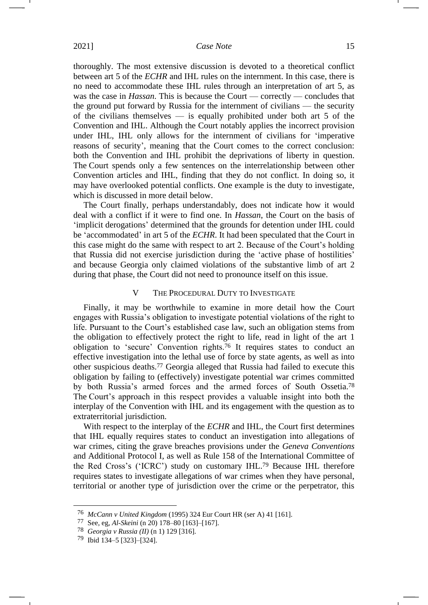thoroughly. The most extensive discussion is devoted to a theoretical conflict between art 5 of the *ECHR* and IHL rules on the internment. In this case, there is no need to accommodate these IHL rules through an interpretation of art 5, as was the case in *Hassan*. This is because the Court — correctly — concludes that the ground put forward by Russia for the internment of civilians — the security of the civilians themselves — is equally prohibited under both art 5 of the Convention and IHL. Although the Court notably applies the incorrect provision under IHL, IHL only allows for the internment of civilians for 'imperative reasons of security', meaning that the Court comes to the correct conclusion: both the Convention and IHL prohibit the deprivations of liberty in question. The Court spends only a few sentences on the interrelationship between other Convention articles and IHL, finding that they do not conflict. In doing so, it may have overlooked potential conflicts. One example is the duty to investigate, which is discussed in more detail below.

The Court finally, perhaps understandably, does not indicate how it would deal with a conflict if it were to find one. In *Hassan*, the Court on the basis of 'implicit derogations' determined that the grounds for detention under IHL could be 'accommodated' in art 5 of the *ECHR*. It had been speculated that the Court in this case might do the same with respect to art 2. Because of the Court's holding that Russia did not exercise jurisdiction during the 'active phase of hostilities' and because Georgia only claimed violations of the substantive limb of art 2 during that phase, the Court did not need to pronounce itself on this issue.

#### V THE PROCEDURAL DUTY TO INVESTIGATE

Finally, it may be worthwhile to examine in more detail how the Court engages with Russia's obligation to investigate potential violations of the right to life. Pursuant to the Court's established case law, such an obligation stems from the obligation to effectively protect the right to life, read in light of the art 1 obligation to 'secure' Convention rights.<sup>76</sup> It requires states to conduct an effective investigation into the lethal use of force by state agents, as well as into other suspicious deaths.<sup>77</sup> Georgia alleged that Russia had failed to execute this obligation by failing to (effectively) investigate potential war crimes committed by both Russia's armed forces and the armed forces of South Ossetia.<sup>78</sup> The Court's approach in this respect provides a valuable insight into both the interplay of the Convention with IHL and its engagement with the question as to extraterritorial jurisdiction.

With respect to the interplay of the *ECHR* and IHL, the Court first determines that IHL equally requires states to conduct an investigation into allegations of war crimes, citing the grave breaches provisions under the *Geneva Conventions* and Additional Protocol I, as well as Rule 158 of the International Committee of the Red Cross's ('ICRC') study on customary IHL.<sup>79</sup> Because IHL therefore requires states to investigate allegations of war crimes when they have personal, territorial or another type of jurisdiction over the crime or the perpetrator, this

<sup>76</sup> *McCann v United Kingdom* (1995) 324 Eur Court HR (ser A) 41 [161].

<sup>77</sup> See, eg, *Al-Skeini* (n [20\)](#page-4-0) 178–80 [163]–[167].

<sup>78</sup> *Georgia v Russia (II)* (n [1\)](#page-0-0) 129 [316].

<sup>79</sup> Ibid 134–5 [323]–[324].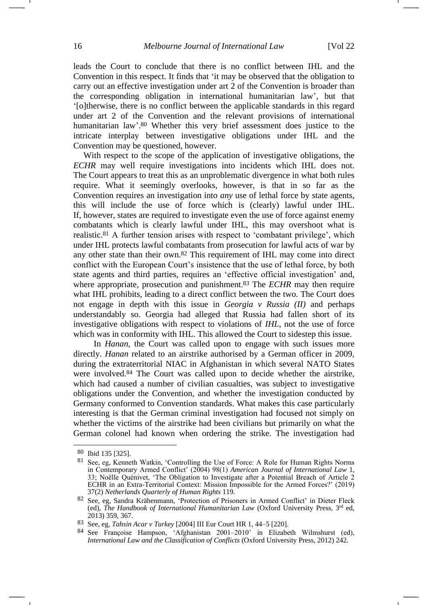leads the Court to conclude that there is no conflict between IHL and the Convention in this respect. It finds that 'it may be observed that the obligation to carry out an effective investigation under art 2 of the Convention is broader than the corresponding obligation in international humanitarian law', but that '[o]therwise, there is no conflict between the applicable standards in this regard under art 2 of the Convention and the relevant provisions of international humanitarian law'.<sup>80</sup> Whether this very brief assessment does justice to the intricate interplay between investigative obligations under IHL and the Convention may be questioned, however.

With respect to the scope of the application of investigative obligations, the *ECHR* may well require investigations into incidents which IHL does not. The Court appears to treat this as an unproblematic divergence in what both rules require. What it seemingly overlooks, however, is that in so far as the Convention requires an investigation into *any* use of lethal force by state agents, this will include the use of force which is (clearly) lawful under IHL. If, however, states are required to investigate even the use of force against enemy combatants which is clearly lawful under IHL, this may overshoot what is realistic.<sup>81</sup> A further tension arises with respect to 'combatant privilege', which under IHL protects lawful combatants from prosecution for lawful acts of war by any other state than their own.<sup>82</sup> This requirement of IHL may come into direct conflict with the European Court's insistence that the use of lethal force, by both state agents and third parties, requires an 'effective official investigation' and, where appropriate, prosecution and punishment.<sup>83</sup> The *ECHR* may then require what IHL prohibits, leading to a direct conflict between the two. The Court does not engage in depth with this issue in *Georgia v Russia (II)* and perhaps understandably so. Georgia had alleged that Russia had fallen short of its investigative obligations with respect to violations of *IHL*, not the use of force which was in conformity with IHL. This allowed the Court to sidestep this issue.

In *Hanan*, the Court was called upon to engage with such issues more directly. *Hanan* related to an airstrike authorised by a German officer in 2009, during the extraterritorial NIAC in Afghanistan in which several NATO States were involved.<sup>84</sup> The Court was called upon to decide whether the airstrike, which had caused a number of civilian casualties, was subject to investigative obligations under the Convention, and whether the investigation conducted by Germany conformed to Convention standards. What makes this case particularly interesting is that the German criminal investigation had focused not simply on whether the victims of the airstrike had been civilians but primarily on what the German colonel had known when ordering the strike. The investigation had

<sup>80</sup> Ibid 135 [325].

<sup>81</sup> See, eg, Kenneth Watkin, 'Controlling the Use of Force: A Role for Human Rights Norms in Contemporary Armed Conflict' (2004) 98(1) *American Journal of International Law* 1, 33; Noëlle Quénivet, 'The Obligation to Investigate after a Potential Breach of Article 2 ECHR in an Extra-Territorial Context: Mission Impossible for the Armed Forces?' (2019) 37(2) *Netherlands Quarterly of Human Rights* 119.

<sup>82</sup> See, eg, Sandra Krähenmann, 'Protection of Prisoners in Armed Conflict' in Dieter Fleck (ed), *The Handbook of International Humanitarian Law* (Oxford University Press, 3rd ed, 2013) 359, 367.

<sup>83</sup> See, eg, *Tahsin Acar v Turkey* [2004] III Eur Court HR 1, 44–5 [220].

<sup>84</sup> See Françoise Hampson, 'Afghanistan 2001–2010' in Elizabeth Wilmshurst (ed), *International Law and the Classification of Conflicts* (Oxford University Press, 2012) 242.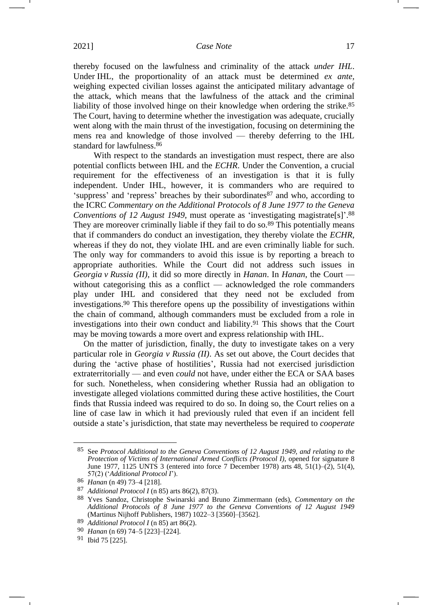<span id="page-16-0"></span>thereby focused on the lawfulness and criminality of the attack *under IHL*. Under IHL, the proportionality of an attack must be determined *ex ante*, weighing expected civilian losses against the anticipated military advantage of the attack, which means that the lawfulness of the attack and the criminal liability of those involved hinge on their knowledge when ordering the strike.<sup>85</sup> The Court, having to determine whether the investigation was adequate, crucially went along with the main thrust of the investigation, focusing on determining the mens rea and knowledge of those involved — thereby deferring to the IHL standard for lawfulness.<sup>86</sup>

With respect to the standards an investigation must respect, there are also potential conflicts between IHL and the *ECHR*. Under the Convention, a crucial requirement for the effectiveness of an investigation is that it is fully independent. Under IHL, however, it is commanders who are required to 'suppress' and 'repress' breaches by their subordinates<sup>87</sup> and who, according to the ICRC *Commentary on the Additional Protocols of 8 June 1977 to the Geneva Conventions of 12 August 1949*, must operate as 'investigating magistrate[s]'. 88 They are moreover criminally liable if they fail to do so.<sup>89</sup> This potentially means that if commanders do conduct an investigation, they thereby violate the *ECHR*, whereas if they do not, they violate IHL and are even criminally liable for such. The only way for commanders to avoid this issue is by reporting a breach to appropriate authorities. While the Court did not address such issues in *Georgia v Russia (II)*, it did so more directly in *Hanan*. In *Hanan*, the Court without categorising this as a conflict — acknowledged the role commanders play under IHL and considered that they need not be excluded from investigations.<sup>90</sup> This therefore opens up the possibility of investigations within the chain of command, although commanders must be excluded from a role in investigations into their own conduct and liability.<sup>91</sup> This shows that the Court may be moving towards a more overt and express relationship with IHL.

On the matter of jurisdiction, finally, the duty to investigate takes on a very particular role in *Georgia v Russia (II)*. As set out above, the Court decides that during the 'active phase of hostilities', Russia had not exercised jurisdiction extraterritorially — and even *could* not have, under either the ECA or SAA bases for such. Nonetheless, when considering whether Russia had an obligation to investigate alleged violations committed during these active hostilities, the Court finds that Russia indeed was required to do so. In doing so, the Court relies on a line of case law in which it had previously ruled that even if an incident fell outside a state's jurisdiction, that state may nevertheless be required to *cooperate* 

<sup>85</sup> See *Protocol Additional to the Geneva Conventions of 12 August 1949, and relating to the Protection of Victims of International Armed Conflicts (Protocol I)*, opened for signature 8 June 1977, 1125 UNTS 3 (entered into force 7 December 1978) arts 48, 51(1)–(2), 51(4), 57(2) ('*Additional Protocol I*').

<sup>86</sup> *Hanan* (n 49) 73–4 [218].

<sup>87</sup> *Additional Protocol I* (n [85\)](#page-16-0) arts 86(2), 87(3).

<sup>88</sup> Yves Sandoz, Christophe Swinarski and Bruno Zimmermann (eds), *Commentary on the Additional Protocols of 8 June 1977 to the Geneva Conventions of 12 August 1949* (Martinus Nijhoff Publishers, 1987) 1022–3 [3560]–[3562].

<sup>89</sup> *Additional Protocol I* (n [85\)](#page-16-0) art 86(2).

<sup>90</sup> *Hanan* (n [69\)](#page-12-0) 74–5 [223]–[224].

<sup>91</sup> Ibid 75 [225].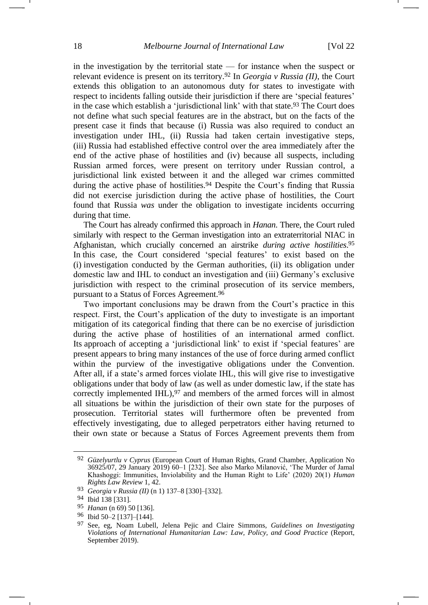in the investigation by the territorial state  $-$  for instance when the suspect or relevant evidence is present on its territory.<sup>92</sup> In *Georgia v Russia (II)*, the Court extends this obligation to an autonomous duty for states to investigate with respect to incidents falling outside their jurisdiction if there are 'special features' in the case which establish a 'jurisdictional link' with that state. <sup>93</sup> The Court does not define what such special features are in the abstract, but on the facts of the present case it finds that because (i) Russia was also required to conduct an investigation under IHL, (ii) Russia had taken certain investigative steps, (iii) Russia had established effective control over the area immediately after the end of the active phase of hostilities and (iv) because all suspects, including Russian armed forces, were present on territory under Russian control, a jurisdictional link existed between it and the alleged war crimes committed during the active phase of hostilities.<sup>94</sup> Despite the Court's finding that Russia did not exercise jurisdiction during the active phase of hostilities, the Court found that Russia *was* under the obligation to investigate incidents occurring during that time.

The Court has already confirmed this approach in *Hanan*. There, the Court ruled similarly with respect to the German investigation into an extraterritorial NIAC in Afghanistan, which crucially concerned an airstrike *during active hostilities*. 95 In this case, the Court considered 'special features' to exist based on the (i) investigation conducted by the German authorities, (ii) its obligation under domestic law and IHL to conduct an investigation and (iii) Germany's exclusive jurisdiction with respect to the criminal prosecution of its service members, pursuant to a Status of Forces Agreement.<sup>96</sup>

Two important conclusions may be drawn from the Court's practice in this respect. First, the Court's application of the duty to investigate is an important mitigation of its categorical finding that there can be no exercise of jurisdiction during the active phase of hostilities of an international armed conflict. Its approach of accepting a 'jurisdictional link' to exist if 'special features' are present appears to bring many instances of the use of force during armed conflict within the purview of the investigative obligations under the Convention. After all, if a state's armed forces violate IHL, this will give rise to investigative obligations under that body of law (as well as under domestic law, if the state has correctly implemented IHL), $97$  and members of the armed forces will in almost all situations be within the jurisdiction of their own state for the purposes of prosecution. Territorial states will furthermore often be prevented from effectively investigating, due to alleged perpetrators either having returned to their own state or because a Status of Forces Agreement prevents them from

<sup>92</sup> *Güzelyurtlu v Cyprus* (European Court of Human Rights, Grand Chamber, Application No 36925/07, 29 January 2019) 60–1 [232]. See also Marko Milanović, 'The Murder of Jamal Khashoggi: Immunities, Inviolability and the Human Right to Life' (2020) 20(1) *Human Rights Law Review* 1, 42.

<sup>93</sup> *Georgia v Russia (II)* (n [1\)](#page-0-0) 137–8 [330]–[332].

<sup>94</sup> Ibid 138 [331].

<sup>95</sup> *Hanan* (n [69\)](#page-12-0) 50 [136].

<sup>96</sup> Ibid 50–2 [137]–[144].

<sup>97</sup> See, eg, Noam Lubell, Jelena Pejic and Claire Simmons*, Guidelines on Investigating Violations of International Humanitarian Law: Law, Policy, and Good Practice* (Report, September 2019).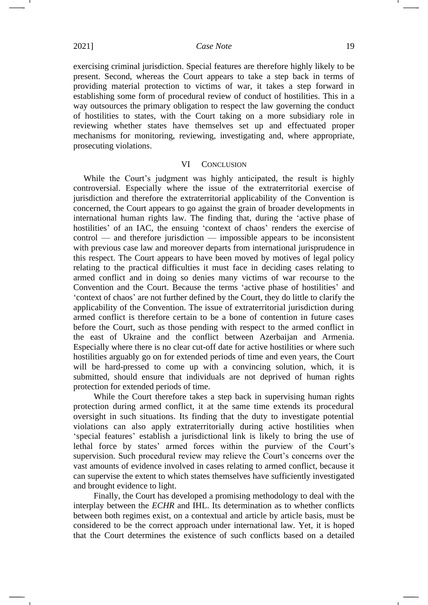exercising criminal jurisdiction. Special features are therefore highly likely to be present. Second, whereas the Court appears to take a step back in terms of providing material protection to victims of war, it takes a step forward in establishing some form of procedural review of conduct of hostilities. This in a way outsources the primary obligation to respect the law governing the conduct of hostilities to states, with the Court taking on a more subsidiary role in reviewing whether states have themselves set up and effectuated proper mechanisms for monitoring, reviewing, investigating and, where appropriate, prosecuting violations.

### VI CONCLUSION

While the Court's judgment was highly anticipated, the result is highly controversial. Especially where the issue of the extraterritorial exercise of jurisdiction and therefore the extraterritorial applicability of the Convention is concerned, the Court appears to go against the grain of broader developments in international human rights law. The finding that, during the 'active phase of hostilities' of an IAC, the ensuing 'context of chaos' renders the exercise of control — and therefore jurisdiction — impossible appears to be inconsistent with previous case law and moreover departs from international jurisprudence in this respect. The Court appears to have been moved by motives of legal policy relating to the practical difficulties it must face in deciding cases relating to armed conflict and in doing so denies many victims of war recourse to the Convention and the Court. Because the terms 'active phase of hostilities' and 'context of chaos' are not further defined by the Court, they do little to clarify the applicability of the Convention. The issue of extraterritorial jurisdiction during armed conflict is therefore certain to be a bone of contention in future cases before the Court, such as those pending with respect to the armed conflict in the east of Ukraine and the conflict between Azerbaijan and Armenia. Especially where there is no clear cut-off date for active hostilities or where such hostilities arguably go on for extended periods of time and even years, the Court will be hard-pressed to come up with a convincing solution, which, it is submitted, should ensure that individuals are not deprived of human rights protection for extended periods of time.

While the Court therefore takes a step back in supervising human rights protection during armed conflict, it at the same time extends its procedural oversight in such situations. Its finding that the duty to investigate potential violations can also apply extraterritorially during active hostilities when 'special features' establish a jurisdictional link is likely to bring the use of lethal force by states' armed forces within the purview of the Court's supervision. Such procedural review may relieve the Court's concerns over the vast amounts of evidence involved in cases relating to armed conflict, because it can supervise the extent to which states themselves have sufficiently investigated and brought evidence to light.

Finally, the Court has developed a promising methodology to deal with the interplay between the *ECHR* and IHL. Its determination as to whether conflicts between both regimes exist, on a contextual and article by article basis, must be considered to be the correct approach under international law. Yet, it is hoped that the Court determines the existence of such conflicts based on a detailed